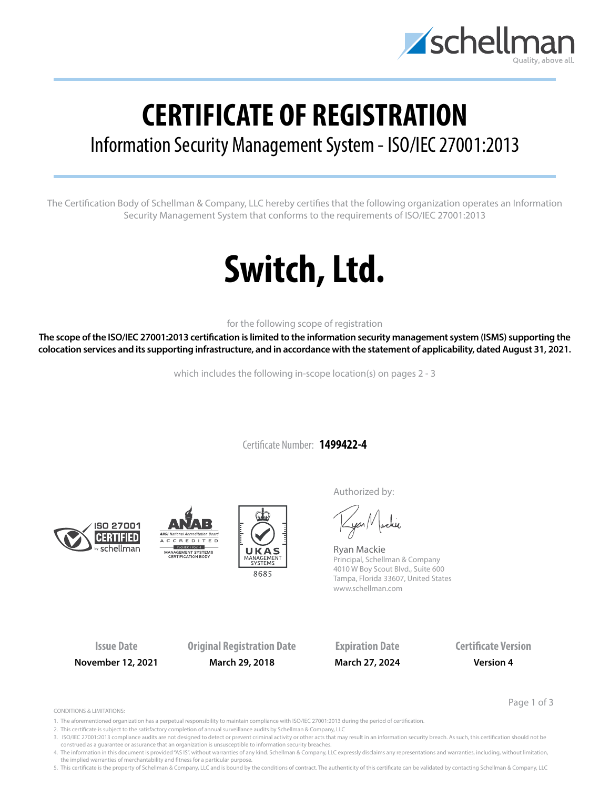

## **CERTIFICATE OF REGISTRATION**

### Information Security Management System - ISO/IEC 27001:2013

The Certification Body of Schellman & Company, LLC hereby certifies that the following organization operates an Information Security Management System that conforms to the requirements of ISO/IEC 27001:2013

# **Switch, Ltd.**

for the following scope of registration

**The scope of the ISO/IEC 27001:2013 certification is limited to the information security management system (ISMS) supporting the colocation services and its supporting infrastructure, and in accordance with the statement of applicability, dated August 31, 2021.**

which includes the following in-scope location(s) on pages 2 - 3

Certificate Number: **1499422-4**







Authorized by:

yan Nachie

Ryan Mackie Principal, Schellman & Company 4010 W Boy Scout Blvd., Suite 600 Tampa, Florida 33607, United States www.schellman.com

**Issue Date Original Registration Date Expiration Date Certificate Version November 12, 2021 March 29, 2018 March 27, 2024 Version 4**

Page 1 of 3

CONDITIONS & LIMITATIONS:

- 1. The aforementioned organization has a perpetual responsibility to maintain compliance with ISO/IEC 27001:2013 during the period of certification.
- 2. This certificate is subject to the satisfactory completion of annual surveillance audits by Schellman & Company, LLC
- 3. ISO/IEC 27001:2013 compliance audits are not designed to detect or prevent criminal activity or other acts that may result in an information security breach. As such, this certification should not be construed as a guarantee or assurance that an organization is unsusceptible to information security breaches.
- 4. The information in this document is provided "AS IS", without warranties of any kind. Schellman & Company, LLC expressly disclaims any representations and warranties, including, without limitation, the implied warranties of merchantability and fitness for a particular purpose.

5. This certificate is the property of Schellman & Company, LLC and is bound by the conditions of contract. The authenticity of this certificate can be validated by contacting Schellman & Company, LLC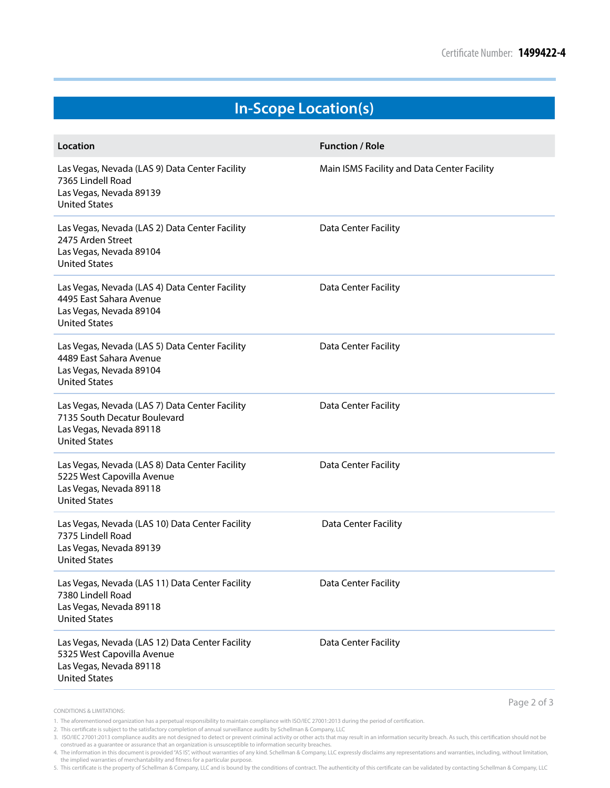### **In-Scope Location(s)**

| Location                                                                                                                          | <b>Function / Role</b>                      |
|-----------------------------------------------------------------------------------------------------------------------------------|---------------------------------------------|
| Las Vegas, Nevada (LAS 9) Data Center Facility<br>7365 Lindell Road<br>Las Vegas, Nevada 89139<br><b>United States</b>            | Main ISMS Facility and Data Center Facility |
| Las Vegas, Nevada (LAS 2) Data Center Facility<br>2475 Arden Street<br>Las Vegas, Nevada 89104<br><b>United States</b>            | Data Center Facility                        |
| Las Vegas, Nevada (LAS 4) Data Center Facility<br>4495 East Sahara Avenue<br>Las Vegas, Nevada 89104<br><b>United States</b>      | Data Center Facility                        |
| Las Vegas, Nevada (LAS 5) Data Center Facility<br>4489 East Sahara Avenue<br>Las Vegas, Nevada 89104<br><b>United States</b>      | Data Center Facility                        |
| Las Vegas, Nevada (LAS 7) Data Center Facility<br>7135 South Decatur Boulevard<br>Las Vegas, Nevada 89118<br><b>United States</b> | Data Center Facility                        |
| Las Vegas, Nevada (LAS 8) Data Center Facility<br>5225 West Capovilla Avenue<br>Las Vegas, Nevada 89118<br><b>United States</b>   | Data Center Facility                        |
| Las Vegas, Nevada (LAS 10) Data Center Facility<br>7375 Lindell Road<br>Las Vegas, Nevada 89139<br><b>United States</b>           | Data Center Facility                        |
| Las Vegas, Nevada (LAS 11) Data Center Facility<br>7380 Lindell Road<br>Las Vegas, Nevada 89118<br><b>United States</b>           | Data Center Facility                        |
| Las Vegas, Nevada (LAS 12) Data Center Facility<br>5325 West Capovilla Avenue<br>Las Vegas, Nevada 89118<br><b>United States</b>  | Data Center Facility                        |
|                                                                                                                                   | Page 2 of 3                                 |

CONDITIONS & LIMITATIONS:

- 1. The aforementioned organization has a perpetual responsibility to maintain compliance with ISO/IEC 27001:2013 during the period of certification.
- 2. This certificate is subject to the satisfactory completion of annual surveillance audits by Schellman & Company, LLC

construed as a guarantee or assurance that an organization is unsusceptible to information security breaches. 4. The information in this document is provided "AS IS", without warranties of any kind. Schellman & Company, LLC expressly disclaims any representations and warranties, including, without limitation,<br>the implied warrantie

5. This certificate is the property of Schellman & Company, LLC and is bound by the conditions of contract. The authenticity of this certificate can be validated by contacting Schellman & Company, LLC

<sup>3.</sup> ISO/IEC 27001:2013 compliance audits are not designed to detect or prevent criminal activity or other acts that may result in an information security breach. As such, this certification should not be